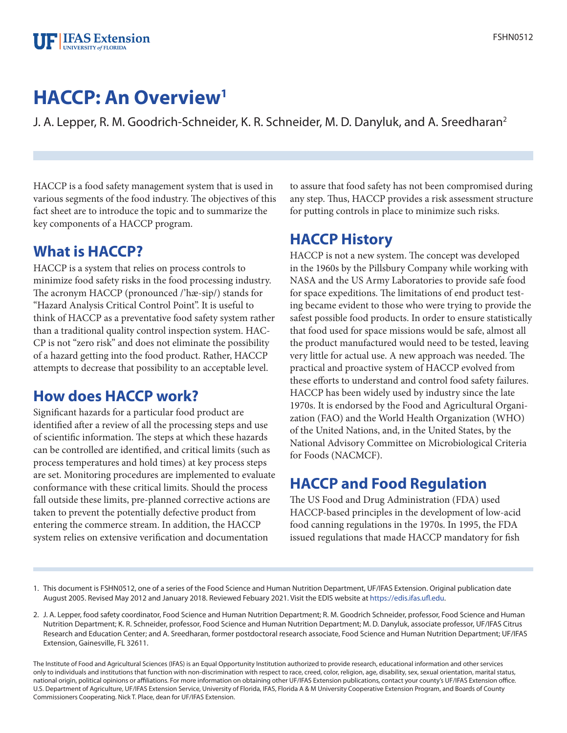#### **FIFAS** Extension **UNIVERSITY of FLORIDA**

# **HACCP: An Overview1**

J. A. Lepper, R. M. Goodrich-Schneider, K. R. Schneider, M. D. Danyluk, and A. Sreedharan<sup>2</sup>

HACCP is a food safety management system that is used in various segments of the food industry. The objectives of this fact sheet are to introduce the topic and to summarize the key components of a HACCP program.

# **What is HACCP?**

HACCP is a system that relies on process controls to minimize food safety risks in the food processing industry. The acronym HACCP (pronounced /'hæ-sip/) stands for "Hazard Analysis Critical Control Point". It is useful to think of HACCP as a preventative food safety system rather than a traditional quality control inspection system. HAC-CP is not "zero risk" and does not eliminate the possibility of a hazard getting into the food product. Rather, HACCP attempts to decrease that possibility to an acceptable level.

# **How does HACCP work?**

Significant hazards for a particular food product are identified after a review of all the processing steps and use of scientific information. The steps at which these hazards can be controlled are identified, and critical limits (such as process temperatures and hold times) at key process steps are set. Monitoring procedures are implemented to evaluate conformance with these critical limits. Should the process fall outside these limits, pre-planned corrective actions are taken to prevent the potentially defective product from entering the commerce stream. In addition, the HACCP system relies on extensive verification and documentation

to assure that food safety has not been compromised during any step. Thus, HACCP provides a risk assessment structure for putting controls in place to minimize such risks.

#### **HACCP History**

HACCP is not a new system. The concept was developed in the 1960s by the Pillsbury Company while working with NASA and the US Army Laboratories to provide safe food for space expeditions. The limitations of end product testing became evident to those who were trying to provide the safest possible food products. In order to ensure statistically that food used for space missions would be safe, almost all the product manufactured would need to be tested, leaving very little for actual use. A new approach was needed. The practical and proactive system of HACCP evolved from these efforts to understand and control food safety failures. HACCP has been widely used by industry since the late 1970s. It is endorsed by the Food and Agricultural Organization (FAO) and the World Health Organization (WHO) of the United Nations, and, in the United States, by the National Advisory Committee on Microbiological Criteria for Foods (NACMCF).

# **HACCP and Food Regulation**

The US Food and Drug Administration (FDA) used HACCP-based principles in the development of low-acid food canning regulations in the 1970s. In 1995, the FDA issued regulations that made HACCP mandatory for fish

The Institute of Food and Agricultural Sciences (IFAS) is an Equal Opportunity Institution authorized to provide research, educational information and other services only to individuals and institutions that function with non-discrimination with respect to race, creed, color, religion, age, disability, sex, sexual orientation, marital status, national origin, political opinions or affiliations. For more information on obtaining other UF/IFAS Extension publications, contact your county's UF/IFAS Extension office. U.S. Department of Agriculture, UF/IFAS Extension Service, University of Florida, IFAS, Florida A & M University Cooperative Extension Program, and Boards of County Commissioners Cooperating. Nick T. Place, dean for UF/IFAS Extension.

<sup>1.</sup> This document is FSHN0512, one of a series of the Food Science and Human Nutrition Department, UF/IFAS Extension. Original publication date August 2005. Revised May 2012 and January 2018. Reviewed Febuary 2021. Visit the EDIS website at https://edis.ifas.ufl.edu.

<sup>2.</sup> J. A. Lepper, food safety coordinator, Food Science and Human Nutrition Department; R. M. Goodrich Schneider, professor, Food Science and Human Nutrition Department; K. R. Schneider, professor, Food Science and Human Nutrition Department; M. D. Danyluk, associate professor, UF/IFAS Citrus Research and Education Center; and A. Sreedharan, former postdoctoral research associate, Food Science and Human Nutrition Department; UF/IFAS Extension, Gainesville, FL 32611.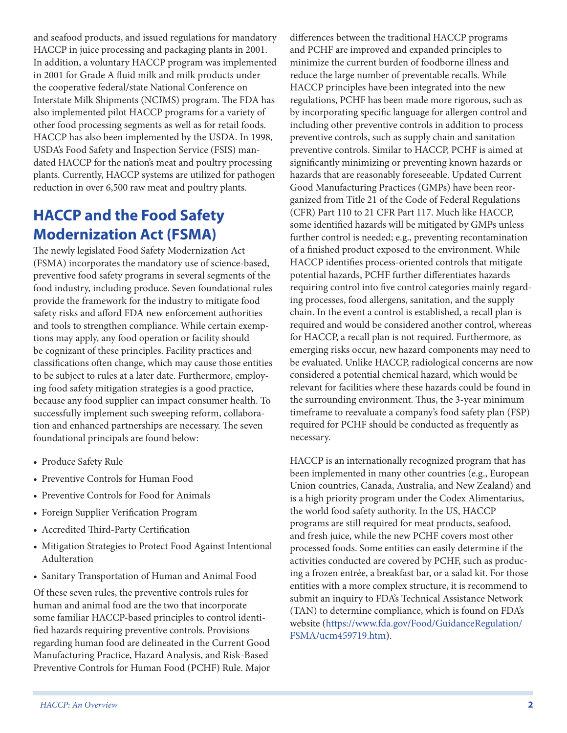and seafood products, and issued regulations for mandatory HACCP in juice processing and packaging plants in 2001. In addition, a voluntary HACCP program was implemented in 2001 for Grade A fluid milk and milk products under the cooperative federal/state National Conference on Interstate Milk Shipments (NCIMS) program. The FDA has also implemented pilot HACCP programs for a variety of other food processing segments as well as for retail foods. HACCP has also been implemented by the USDA. In 1998, USDA's Food Safety and Inspection Service (FSIS) mandated HACCP for the nation's meat and poultry processing plants. Currently, HACCP systems are utilized for pathogen reduction in over 6,500 raw meat and poultry plants.

# **HACCP and the Food Safety Modernization Act (FSMA)**

The newly legislated Food Safety Modernization Act (FSMA) incorporates the mandatory use of science-based, preventive food safety programs in several segments of the food industry, including produce. Seven foundational rules provide the framework for the industry to mitigate food safety risks and afford FDA new enforcement authorities and tools to strengthen compliance. While certain exemptions may apply, any food operation or facility should be cognizant of these principles. Facility practices and classifications often change, which may cause those entities to be subject to rules at a later date. Furthermore, employing food safety mitigation strategies is a good practice, because any food supplier can impact consumer health. To successfully implement such sweeping reform, collaboration and enhanced partnerships are necessary. The seven foundational principals are found below:

- Produce Safety Rule
- Preventive Controls for Human Food
- Preventive Controls for Food for Animals
- Foreign Supplier Verification Program
- Accredited Third-Party Certification
- Mitigation Strategies to Protect Food Against Intentional Adulteration
- Sanitary Transportation of Human and Animal Food

Of these seven rules, the preventive controls rules for human and animal food are the two that incorporate some familiar HACCP-based principles to control identified hazards requiring preventive controls. Provisions regarding human food are delineated in the Current Good Manufacturing Practice, Hazard Analysis, and Risk-Based Preventive Controls for Human Food (PCHF) Rule. Major

differences between the traditional HACCP programs and PCHF are improved and expanded principles to minimize the current burden of foodborne illness and reduce the large number of preventable recalls. While HACCP principles have been integrated into the new regulations, PCHF has been made more rigorous, such as by incorporating specific language for allergen control and including other preventive controls in addition to process preventive controls, such as supply chain and sanitation preventive controls. Similar to HACCP, PCHF is aimed at significantly minimizing or preventing known hazards or hazards that are reasonably foreseeable. Updated Current Good Manufacturing Practices (GMPs) have been reorganized from Title 21 of the Code of Federal Regulations (CFR) Part 110 to 21 CFR Part 117. Much like HACCP, some identified hazards will be mitigated by GMPs unless further control is needed; e.g., preventing recontamination of a finished product exposed to the environment. While HACCP identifies process-oriented controls that mitigate potential hazards, PCHF further differentiates hazards requiring control into five control categories mainly regarding processes, food allergens, sanitation, and the supply chain. In the event a control is established, a recall plan is required and would be considered another control, whereas for HACCP, a recall plan is not required. Furthermore, as emerging risks occur, new hazard components may need to be evaluated. Unlike HACCP, radiological concerns are now considered a potential chemical hazard, which would be relevant for facilities where these hazards could be found in the surrounding environment. Thus, the 3-year minimum timeframe to reevaluate a company's food safety plan (FSP) required for PCHF should be conducted as frequently as necessary.

HACCP is an internationally recognized program that has been implemented in many other countries (e.g., European Union countries, Canada, Australia, and New Zealand) and is a high priority program under the Codex Alimentarius, the world food safety authority. In the US, HACCP programs are still required for meat products, seafood, and fresh juice, while the new PCHF covers most other processed foods. Some entities can easily determine if the activities conducted are covered by PCHF, such as producing a frozen entrée, a breakfast bar, or a salad kit. For those entities with a more complex structure, it is recommend to submit an inquiry to FDA's Technical Assistance Network (TAN) to determine compliance, which is found on FDA's website (https://www.fda.gov/Food/GuidanceRegulation/ FSMA/ucm459719.htm).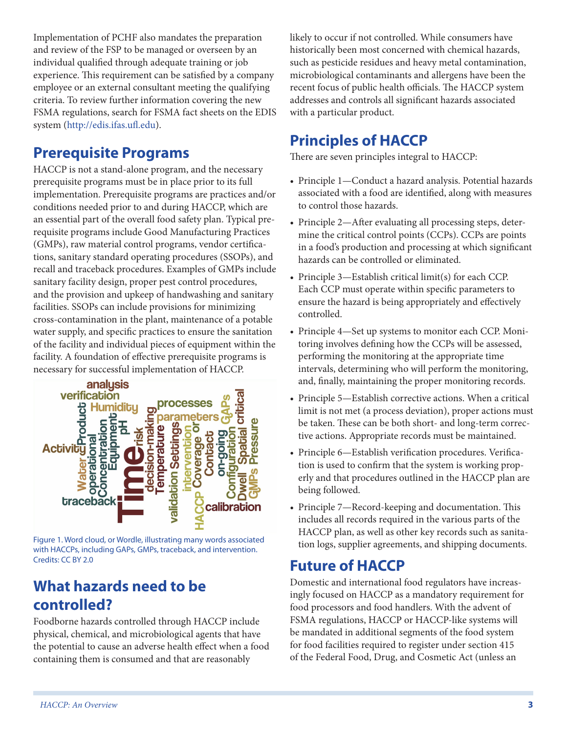Implementation of PCHF also mandates the preparation and review of the FSP to be managed or overseen by an individual qualified through adequate training or job experience. This requirement can be satisfied by a company employee or an external consultant meeting the qualifying criteria. To review further information covering the new FSMA regulations, search for FSMA fact sheets on the EDIS system (http://edis.ifas.ufl.edu).

# **Prerequisite Programs**

HACCP is not a stand-alone program, and the necessary prerequisite programs must be in place prior to its full implementation. Prerequisite programs are practices and/or conditions needed prior to and during HACCP, which are an essential part of the overall food safety plan. Typical prerequisite programs include Good Manufacturing Practices (GMPs), raw material control programs, vendor certifications, sanitary standard operating procedures (SSOPs), and recall and traceback procedures. Examples of GMPs include sanitary facility design, proper pest control procedures, and the provision and upkeep of handwashing and sanitary facilities. SSOPs can include provisions for minimizing cross-contamination in the plant, maintenance of a potable water supply, and specific practices to ensure the sanitation of the facility and individual pieces of equipment within the necessary for successful implementation of HACCP.



Figure 1. Word cloud, or Wordle, illustrating many words associated with HACCPs, including GAPs, GMPs, traceback, and intervention. Credits: CC BY 2.0

#### **What hazards need to be controlled?**

Foodborne hazards controlled through HACCP include physical, chemical, and microbiological agents that have the potential to cause an adverse health effect when a food containing them is consumed and that are reasonably

likely to occur if not controlled. While consumers have historically been most concerned with chemical hazards, such as pesticide residues and heavy metal contamination, microbiological contaminants and allergens have been the recent focus of public health officials. The HACCP system addresses and controls all significant hazards associated with a particular product.

# **Principles of HACCP**

There are seven principles integral to HACCP:

- Principle 1—Conduct a hazard analysis. Potential hazards associated with a food are identified, along with measures to control those hazards.
- Principle 2—After evaluating all processing steps, determine the critical control points (CCPs). CCPs are points in a food's production and processing at which significant hazards can be controlled or eliminated.
- Principle 3—Establish critical limit(s) for each CCP. Each CCP must operate within specific parameters to ensure the hazard is being appropriately and effectively controlled.
- Principle 4—Set up systems to monitor each CCP. Monitoring involves defining how the CCPs will be assessed, performing the monitoring at the appropriate time intervals, determining who will perform the monitoring, and, finally, maintaining the proper monitoring records.
- Principle 5—Establish corrective actions. When a critical limit is not met (a process deviation), proper actions must be taken. These can be both short- and long-term corrective actions. Appropriate records must be maintained.
- Principle 6—Establish verification procedures. Verification is used to confirm that the system is working properly and that procedures outlined in the HACCP plan are being followed.
- Principle 7—Record-keeping and documentation. This includes all records required in the various parts of the HACCP plan, as well as other key records such as sanitation logs, supplier agreements, and shipping documents.

# **Future of HACCP**

Domestic and international food regulators have increasingly focused on HACCP as a mandatory requirement for food processors and food handlers. With the advent of FSMA regulations, HACCP or HACCP-like systems will be mandated in additional segments of the food system for food facilities required to register under section 415 of the Federal Food, Drug, and Cosmetic Act (unless an